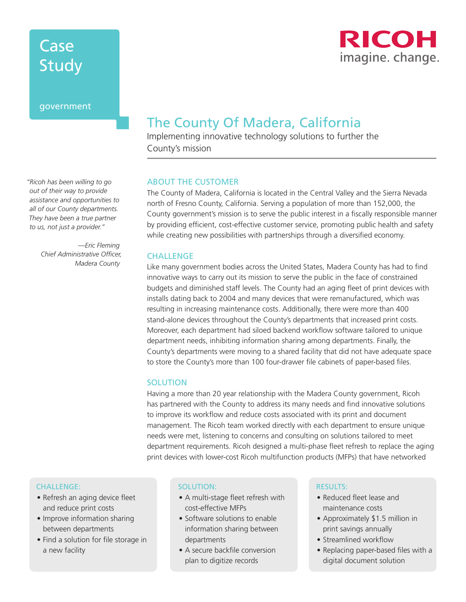# Case **Study**

#### government

**RICOH** imagine. change.

### The County Of Madera, California

Implementing innovative technology solutions to further the County's mission

#### ABOUT THE CUSTOMER

The County of Madera, California is located in the Central Valley and the Sierra Nevada north of Fresno County, California. Serving a population of more than 152,000, the County government's mission is to serve the public interest in a fiscally responsible manner by providing efficient, cost-effective customer service, promoting public health and safety while creating new possibilities with partnerships through a diversified economy.

#### **CHALLENGE**

Like many government bodies across the United States, Madera County has had to find innovative ways to carry out its mission to serve the public in the face of constrained budgets and diminished staff levels. The County had an aging fleet of print devices with installs dating back to 2004 and many devices that were remanufactured, which was resulting in increasing maintenance costs. Additionally, there were more than 400 stand-alone devices throughout the County's departments that increased print costs. Moreover, each department had siloed backend workflow software tailored to unique department needs, inhibiting information sharing among departments. Finally, the County's departments were moving to a shared facility that did not have adequate space to store the County's more than 100 four-drawer file cabinets of paper-based files.

#### **SOLUTION**

Having a more than 20 year relationship with the Madera County government, Ricoh has partnered with the County to address its many needs and find innovative solutions to improve its workflow and reduce costs associated with its print and document management. The Ricoh team worked directly with each department to ensure unique needs were met, listening to concerns and consulting on solutions tailored to meet department requirements. Ricoh designed a multi-phase fleet refresh to replace the aging print devices with lower-cost Ricoh multifunction products (MFPs) that have networked

#### Challenge:

- Refresh an aging device fleet and reduce print costs
- Improve information sharing between departments
- Find a solution for file storage in a new facility

#### solution:

- A multi-stage fleet refresh with cost-effective MFPs
- Software solutions to enable information sharing between departments
- A secure backfile conversion plan to digitize records

#### results:

- Reduced fleet lease and maintenance costs
- Approximately \$1.5 million in print savings annually
- Streamlined workflow
- Replacing paper-based files with a digital document solution

*"Ricoh has been willing to go out of their way to provide assistance and opportunities to all of our County departments. They have been a true partner to us, not just a provider."*

> *—Eric Fleming Chief Administrative Officer, Madera County*